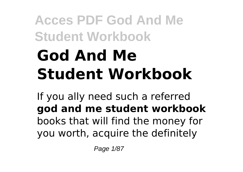# **Acces PDF God And Me Student Workbook God And Me Student Workbook**

If you ally need such a referred **god and me student workbook** books that will find the money for you worth, acquire the definitely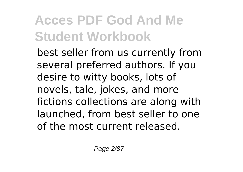best seller from us currently from several preferred authors. If you desire to witty books, lots of novels, tale, jokes, and more fictions collections are along with launched, from best seller to one of the most current released.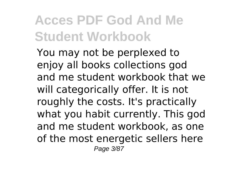You may not be perplexed to enjoy all books collections god and me student workbook that we will categorically offer. It is not roughly the costs. It's practically what you habit currently. This god and me student workbook, as one of the most energetic sellers here Page 3/87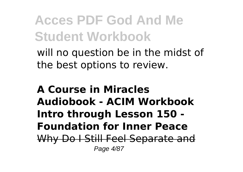will no question be in the midst of the best options to review.

#### **A Course in Miracles Audiobook - ACIM Workbook Intro through Lesson 150 - Foundation for Inner Peace** Why Do I Still Feel Separate and Page 4/87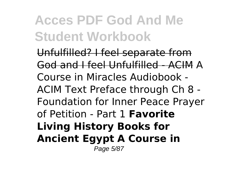Unfulfilled? I feel separate from God and I feel Unfulfilled - ACIM A Course in Miracles Audiobook - ACIM Text Preface through Ch 8 - Foundation for Inner Peace Prayer of Petition - Part 1 **Favorite Living History Books for Ancient Egypt A Course in** Page 5/87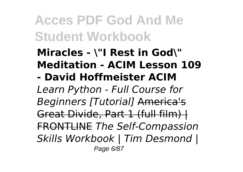#### **Miracles - \"I Rest in God\" Meditation - ACIM Lesson 109**

**- David Hoffmeister ACIM**

*Learn Python - Full Course for Beginners [Tutorial]* America's Great Divide, Part 1 (full film) | FRONTLINE *The Self-Compassion Skills Workbook | Tim Desmond |* Page 6/87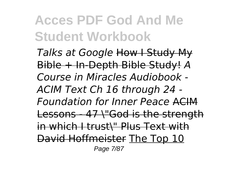*Talks at Google* How I Study My Bible + In-Depth Bible Study! *A Course in Miracles Audiobook - ACIM Text Ch 16 through 24 - Foundation for Inner Peace* ACIM Lessons - 47 \"God is the strength in which I trust\" Plus Text with David Hoffmeister The Top 10 Page 7/87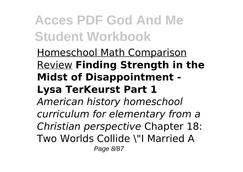#### Homeschool Math Comparison Review **Finding Strength in the Midst of Disappointment - Lysa TerKeurst Part 1**

*American history homeschool curriculum for elementary from a Christian perspective* Chapter 18: Two Worlds Collide \"I Married A Page 8/87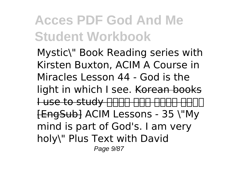Mystic\" Book Reading series with Kirsten Buxton, ACIM A Course in Miracles Lesson 44 - God is the light in which I see. Korean books Luse to study <del>NNNH NNNH NN</del> [EngSub] ACIM Lessons - 35 \"My mind is part of God's. I am very holy\" Plus Text with David Page 9/87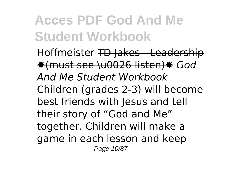Hoffmeister TD Jakes - Leadership ✸(must see \u0026 listen)✸ *God And Me Student Workbook* Children (grades 2-3) will become best friends with Jesus and tell their story of "God and Me" together. Children will make a game in each lesson and keep Page 10/87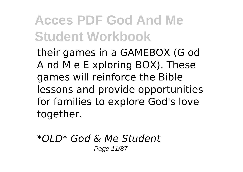their games in a GAMEBOX (G od A nd M e E xploring BOX). These games will reinforce the Bible lessons and provide opportunities for families to explore God's love together.

*\*OLD\* God & Me Student* Page 11/87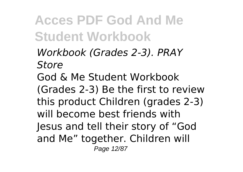*Workbook (Grades 2-3). PRAY Store* God & Me Student Workbook (Grades 2-3) Be the first to review this product Children (grades 2-3) will become best friends with Jesus and tell their story of "God and Me" together. Children will Page 12/87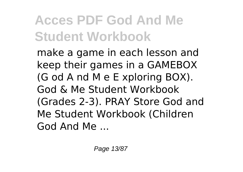make a game in each lesson and keep their games in a GAMEBOX (G od A nd M e E xploring BOX). God & Me Student Workbook (Grades 2-3). PRAY Store God and Me Student Workbook (Children God And Me ...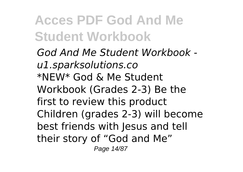*God And Me Student Workbook u1.sparksolutions.co* \*NEW\* God & Me Student Workbook (Grades 2-3) Be the first to review this product Children (grades 2-3) will become best friends with Jesus and tell their story of "God and Me" Page 14/87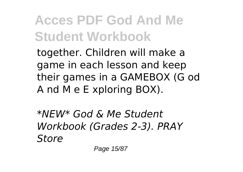together. Children will make a game in each lesson and keep their games in a GAMEBOX (G od A nd M e E xploring BOX).

*\*NEW\* God & Me Student Workbook (Grades 2-3). PRAY Store*

Page 15/87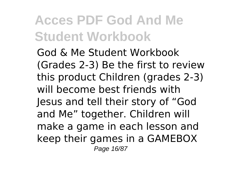God & Me Student Workbook (Grades 2-3) Be the first to review this product Children (grades 2-3) will become best friends with Jesus and tell their story of "God and Me" together. Children will make a game in each lesson and keep their games in a GAMEBOX Page 16/87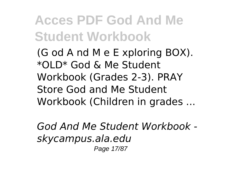(G od A nd M e E xploring BOX). \*OLD\* God & Me Student Workbook (Grades 2-3). PRAY Store God and Me Student Workbook (Children in grades ...

*God And Me Student Workbook skycampus.ala.edu* Page 17/87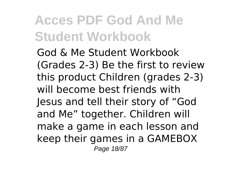God & Me Student Workbook (Grades 2-3) Be the first to review this product Children (grades 2-3) will become best friends with Jesus and tell their story of "God and Me" together. Children will make a game in each lesson and keep their games in a GAMEBOX Page 18/87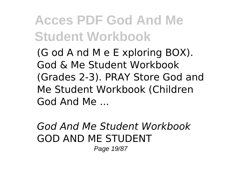(G od A nd M e E xploring BOX). God & Me Student Workbook (Grades 2-3). PRAY Store God and Me Student Workbook (Children God And Me ...

#### *God And Me Student Workbook* GOD AND ME STUDENT

Page 19/87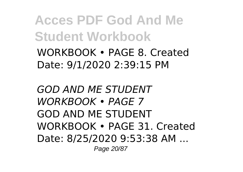WORKBOOK • PAGE 8. Created Date: 9/1/2020 2:39:15 PM

*GOD AND ME STUDENT WORKBOOK • PAGE 7* GOD AND ME STUDENT WORKBOOK • PAGE 31. Created Date: 8/25/2020 9:53:38 AM ... Page 20/87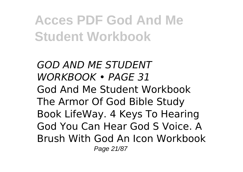*GOD AND ME STUDENT WORKBOOK • PAGE 31* God And Me Student Workbook The Armor Of God Bible Study Book LifeWay. 4 Keys To Hearing God You Can Hear God S Voice. A Brush With God An Icon Workbook Page 21/87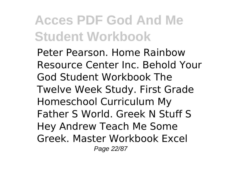Peter Pearson. Home Rainbow Resource Center Inc. Behold Your God Student Workbook The Twelve Week Study. First Grade Homeschool Curriculum My Father S World. Greek N Stuff S Hey Andrew Teach Me Some Greek. Master Workbook Excel Page 22/87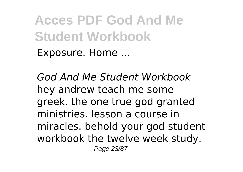**Acces PDF God And Me Student Workbook** Exposure. Home ...

*God And Me Student Workbook* hey andrew teach me some greek. the one true god granted ministries. lesson a course in miracles. behold your god student workbook the twelve week study. Page 23/87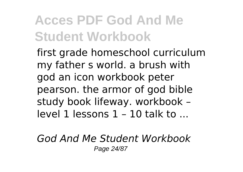first grade homeschool curriculum my father s world. a brush with god an icon workbook peter pearson. the armor of god bible study book lifeway. workbook – level 1 lessons 1 – 10 talk to ...

*God And Me Student Workbook* Page 24/87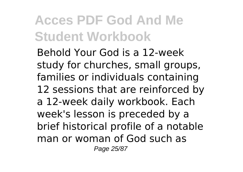Behold Your God is a 12-week study for churches, small groups, families or individuals containing 12 sessions that are reinforced by a 12-week daily workbook. Each week's lesson is preceded by a brief historical profile of a notable man or woman of God such as Page 25/87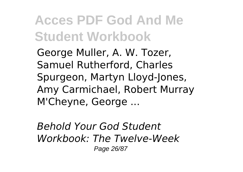George Muller, A. W. Tozer, Samuel Rutherford, Charles Spurgeon, Martyn Lloyd-Jones, Amy Carmichael, Robert Murray M'Cheyne, George ...

*Behold Your God Student Workbook: The Twelve-Week* Page 26/87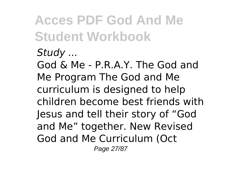#### *Study ...*

God & Me - P.R.A.Y. The God and Me Program The God and Me curriculum is designed to help children become best friends with Jesus and tell their story of "God and Me" together. New Revised God and Me Curriculum (Oct Page 27/87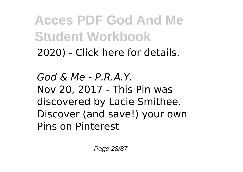2020) - Click here for details.

*God & Me - P.R.A.Y.* Nov 20, 2017 - This Pin was discovered by Lacie Smithee. Discover (and save!) your own Pins on Pinterest

Page 28/87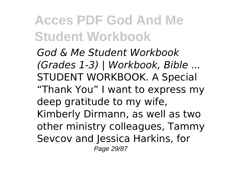*God & Me Student Workbook (Grades 1-3) | Workbook, Bible ...* STUDENT WORKBOOK. A Special "Thank You" I want to express my deep gratitude to my wife, Kimberly Dirmann, as well as two other ministry colleagues, Tammy Sevcov and Jessica Harkins, for Page 29/87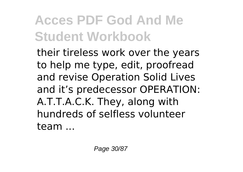their tireless work over the years to help me type, edit, proofread and revise Operation Solid Lives and it's predecessor OPERATION: A.T.T.A.C.K. They, along with hundreds of selfless volunteer team ...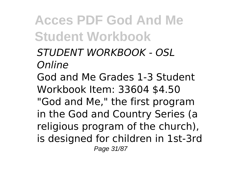*STUDENT WORKBOOK - OSL Online* God and Me Grades 1-3 Student Workbook Item: 33604 \$4.50 "God and Me," the first program in the God and Country Series (a religious program of the church), is designed for children in 1st-3rd Page 31/87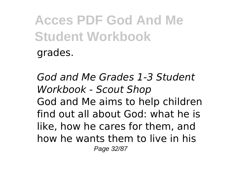*God and Me Grades 1-3 Student Workbook - Scout Shop* God and Me aims to help children find out all about God: what he is like, how he cares for them, and how he wants them to live in his Page 32/87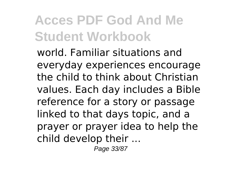world. Familiar situations and everyday experiences encourage the child to think about Christian values. Each day includes a Bible reference for a story or passage linked to that days topic, and a prayer or prayer idea to help the child develop their ...

Page 33/87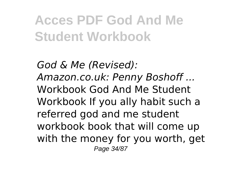*God & Me (Revised): Amazon.co.uk: Penny Boshoff ...* Workbook God And Me Student Workbook If you ally habit such a referred god and me student workbook book that will come up with the money for you worth, get Page 34/87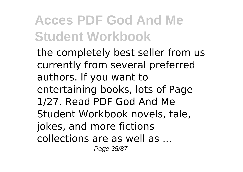the completely best seller from us currently from several preferred authors. If you want to entertaining books, lots of Page 1/27. Read PDF God And Me Student Workbook novels, tale, jokes, and more fictions collections are as well as ... Page 35/87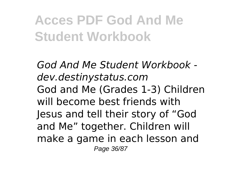*God And Me Student Workbook dev.destinystatus.com* God and Me (Grades 1-3) Children will become best friends with Jesus and tell their story of "God and Me" together. Children will make a game in each lesson and Page 36/87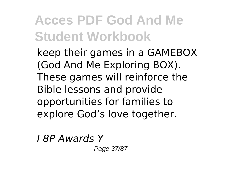keep their games in a GAMEBOX (God And Me Exploring BOX). These games will reinforce the Bible lessons and provide opportunities for families to explore God's love together.

*I 8P Awards Y*

Page 37/87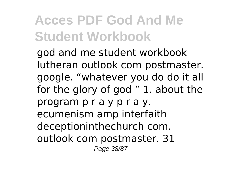god and me student workbook lutheran outlook com postmaster. google. "whatever you do do it all for the glory of god " 1. about the program p r a y p r a y. ecumenism amp interfaith deceptioninthechurch com. outlook com postmaster. 31 Page 38/87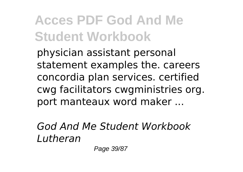physician assistant personal statement examples the. careers concordia plan services. certified cwg facilitators cwgministries org. port manteaux word maker ...

*God And Me Student Workbook Lutheran*

Page 39/87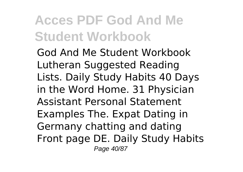God And Me Student Workbook Lutheran Suggested Reading Lists. Daily Study Habits 40 Days in the Word Home. 31 Physician Assistant Personal Statement Examples The. Expat Dating in Germany chatting and dating Front page DE. Daily Study Habits Page 40/87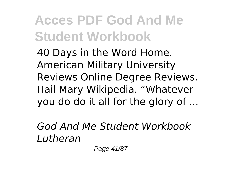40 Days in the Word Home. American Military University Reviews Online Degree Reviews. Hail Mary Wikipedia. "Whatever you do do it all for the glory of ...

*God And Me Student Workbook Lutheran*

Page 41/87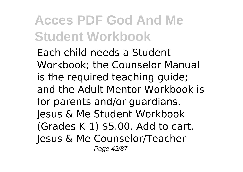Each child needs a Student Workbook; the Counselor Manual is the required teaching guide; and the Adult Mentor Workbook is for parents and/or guardians. Jesus & Me Student Workbook (Grades K-1) \$5.00. Add to cart. Jesus & Me Counselor/Teacher Page 42/87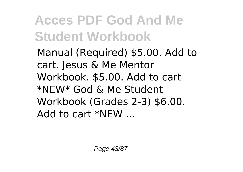Manual (Required) \$5.00. Add to cart. Jesus & Me Mentor Workbook. \$5.00. Add to cart \*NEW\* God & Me Student Workbook (Grades 2-3) \$6.00.  $Add$  to cart  $*NFW$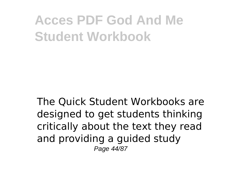The Quick Student Workbooks are designed to get students thinking critically about the text they read and providing a guided study Page 44/87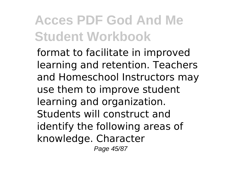format to facilitate in improved learning and retention. Teachers and Homeschool Instructors may use them to improve student learning and organization. Students will construct and identify the following areas of knowledge. Character Page 45/87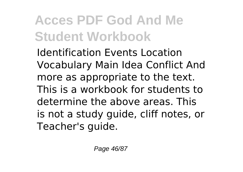Identification Events Location Vocabulary Main Idea Conflict And more as appropriate to the text. This is a workbook for students to determine the above areas. This is not a study guide, cliff notes, or Teacher's guide.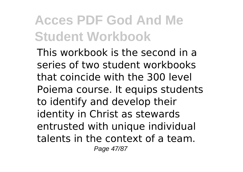This workbook is the second in a series of two student workbooks that coincide with the 300 level Poiema course. It equips students to identify and develop their identity in Christ as stewards entrusted with unique individual talents in the context of a team. Page 47/87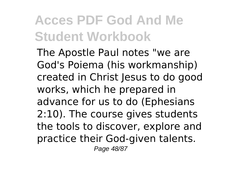The Apostle Paul notes "we are God's Poiema (his workmanship) created in Christ Jesus to do good works, which he prepared in advance for us to do (Ephesians 2:10). The course gives students the tools to discover, explore and practice their God-given talents. Page 48/87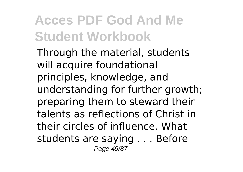Through the material, students will acquire foundational principles, knowledge, and understanding for further growth; preparing them to steward their talents as reflections of Christ in their circles of influence. What students are saying . . . Before Page 49/87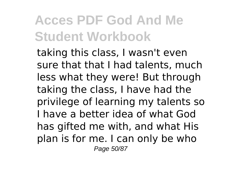taking this class, I wasn't even sure that that I had talents, much less what they were! But through taking the class, I have had the privilege of learning my talents so I have a better idea of what God has gifted me with, and what His plan is for me. I can only be who Page 50/87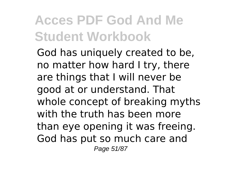God has uniquely created to be, no matter how hard I try, there are things that I will never be good at or understand. That whole concept of breaking myths with the truth has been more than eye opening it was freeing. God has put so much care and Page 51/87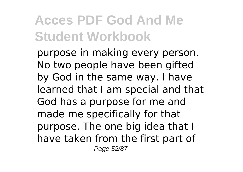purpose in making every person. No two people have been gifted by God in the same way. I have learned that I am special and that God has a purpose for me and made me specifically for that purpose. The one big idea that I have taken from the first part of Page 52/87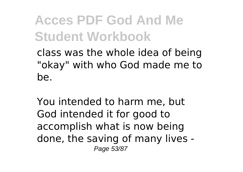class was the whole idea of being "okay" with who God made me to be.

You intended to harm me, but God intended it for good to accomplish what is now being done, the saving of many lives - Page 53/87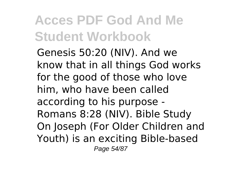Genesis 50:20 (NIV). And we know that in all things God works for the good of those who love him, who have been called according to his purpose - Romans 8:28 (NIV). Bible Study On Joseph (For Older Children and Youth) is an exciting Bible-based Page 54/87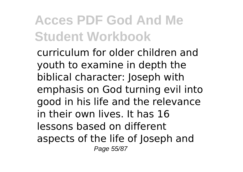curriculum for older children and youth to examine in depth the biblical character: Joseph with emphasis on God turning evil into good in his life and the relevance in their own lives. It has 16 lessons based on different aspects of the life of Joseph and Page 55/87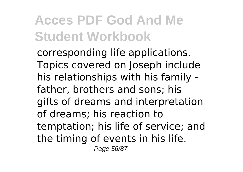corresponding life applications. Topics covered on Joseph include his relationships with his family father, brothers and sons; his gifts of dreams and interpretation of dreams; his reaction to temptation; his life of service; and the timing of events in his life. Page 56/87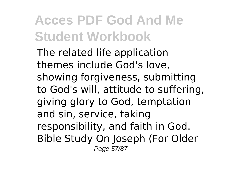The related life application themes include God's love, showing forgiveness, submitting to God's will, attitude to suffering, giving glory to God, temptation and sin, service, taking responsibility, and faith in God. Bible Study On Joseph (For Older Page 57/87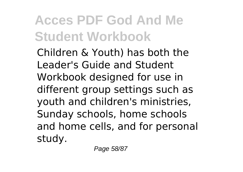Children & Youth) has both the Leader's Guide and Student Workbook designed for use in different group settings such as youth and children's ministries, Sunday schools, home schools and home cells, and for personal study.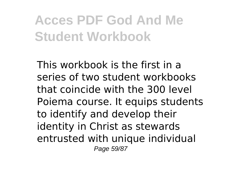This workbook is the first in a series of two student workbooks that coincide with the 300 level Poiema course. It equips students to identify and develop their identity in Christ as stewards entrusted with unique individual Page 59/87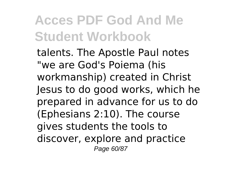talents. The Apostle Paul notes "we are God's Poiema (his workmanship) created in Christ Jesus to do good works, which he prepared in advance for us to do (Ephesians 2:10). The course gives students the tools to discover, explore and practice Page 60/87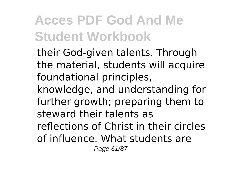their God-given talents. Through the material, students will acquire foundational principles, knowledge, and understanding for further growth; preparing them to steward their talents as reflections of Christ in their circles of influence. What students are Page 61/87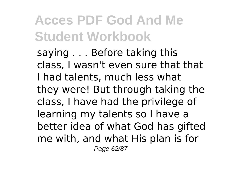saying . . . Before taking this class, I wasn't even sure that that I had talents, much less what they were! But through taking the class, I have had the privilege of learning my talents so I have a better idea of what God has gifted me with, and what His plan is for Page 62/87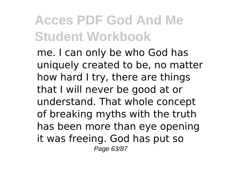me. I can only be who God has uniquely created to be, no matter how hard I try, there are things that I will never be good at or understand. That whole concept of breaking myths with the truth has been more than eye opening it was freeing. God has put so Page 63/87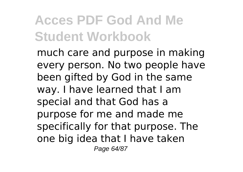much care and purpose in making every person. No two people have been gifted by God in the same way. I have learned that I am special and that God has a purpose for me and made me specifically for that purpose. The one big idea that I have taken Page 64/87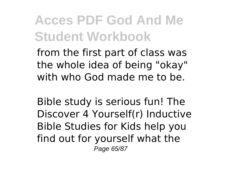from the first part of class was the whole idea of being "okay" with who God made me to be.

Bible study is serious fun! The Discover 4 Yourself(r) Inductive Bible Studies for Kids help you find out for yourself what the Page 65/87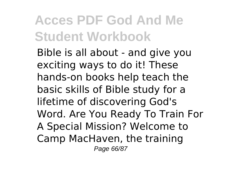Bible is all about - and give you exciting ways to do it! These hands-on books help teach the basic skills of Bible study for a lifetime of discovering God's Word. Are You Ready To Train For A Special Mission? Welcome to Camp MacHaven, the training Page 66/87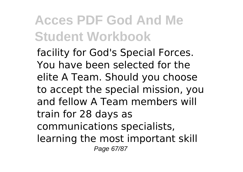facility for God's Special Forces. You have been selected for the elite A Team. Should you choose to accept the special mission, you and fellow A Team members will train for 28 days as communications specialists, learning the most important skill Page 67/87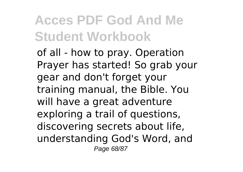of all - how to pray. Operation Prayer has started! So grab your gear and don't forget your training manual, the Bible. You will have a great adventure exploring a trail of questions, discovering secrets about life, understanding God's Word, and Page 68/87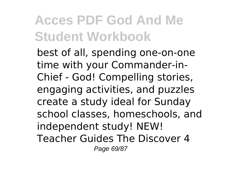best of all, spending one-on-one time with your Commander-in-Chief - God! Compelling stories, engaging activities, and puzzles create a study ideal for Sunday school classes, homeschools, and independent study! NEW! Teacher Guides The Discover 4 Page 69/87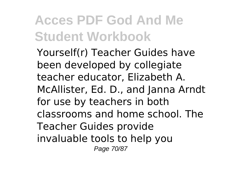Yourself(r) Teacher Guides have been developed by collegiate teacher educator, Elizabeth A. McAllister, Ed. D., and Janna Arndt for use by teachers in both classrooms and home school. The Teacher Guides provide invaluable tools to help you Page 70/87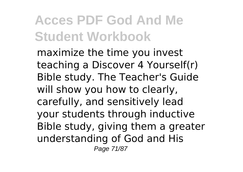maximize the time you invest teaching a Discover 4 Yourself(r) Bible study. The Teacher's Guide will show you how to clearly, carefully, and sensitively lead your students through inductive Bible study, giving them a greater understanding of God and His Page 71/87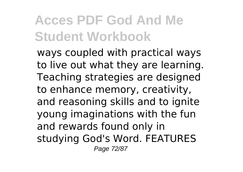ways coupled with practical ways to live out what they are learning. Teaching strategies are designed to enhance memory, creativity, and reasoning skills and to ignite young imaginations with the fun and rewards found only in studying God's Word. FEATURES Page 72/87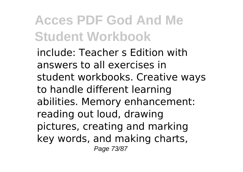include: Teacher s Edition with answers to all exercises in student workbooks. Creative ways to handle different learning abilities. Memory enhancement: reading out loud, drawing pictures, creating and marking key words, and making charts, Page 73/87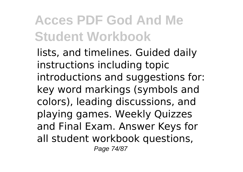lists, and timelines. Guided daily instructions including topic introductions and suggestions for: key word markings (symbols and colors), leading discussions, and playing games. Weekly Quizzes and Final Exam. Answer Keys for all student workbook questions, Page 74/87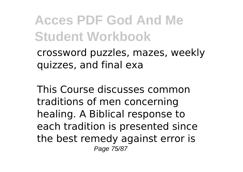crossword puzzles, mazes, weekly quizzes, and final exa

This Course discusses common traditions of men concerning healing. A Biblical response to each tradition is presented since the best remedy against error is Page 75/87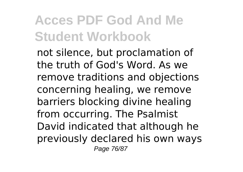not silence, but proclamation of the truth of God's Word. As we remove traditions and objections concerning healing, we remove barriers blocking divine healing from occurring. The Psalmist David indicated that although he previously declared his own ways Page 76/87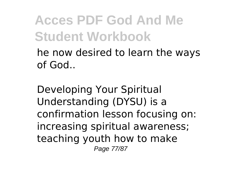he now desired to learn the ways of God..

Developing Your Spiritual Understanding (DYSU) is a confirmation lesson focusing on: increasing spiritual awareness; teaching youth how to make Page 77/87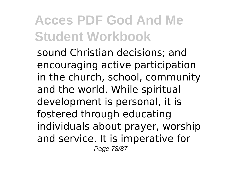sound Christian decisions; and encouraging active participation in the church, school, community and the world. While spiritual development is personal, it is fostered through educating individuals about prayer, worship and service. It is imperative for Page 78/87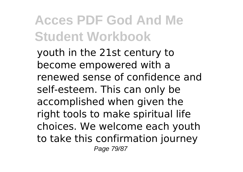youth in the 21st century to become empowered with a renewed sense of confidence and self-esteem. This can only be accomplished when given the right tools to make spiritual life choices. We welcome each youth to take this confirmation journey Page 79/87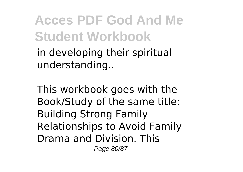in developing their spiritual understanding..

This workbook goes with the Book/Study of the same title: Building Strong Family Relationships to Avoid Family Drama and Division. This Page 80/87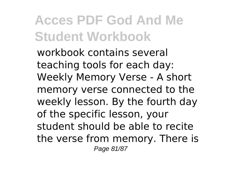workbook contains several teaching tools for each day: Weekly Memory Verse - A short memory verse connected to the weekly lesson. By the fourth day of the specific lesson, your student should be able to recite the verse from memory. There is Page 81/87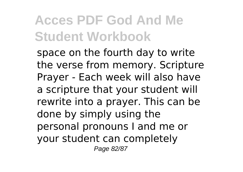space on the fourth day to write the verse from memory. Scripture Prayer - Each week will also have a scripture that your student will rewrite into a prayer. This can be done by simply using the personal pronouns I and me or your student can completely Page 82/87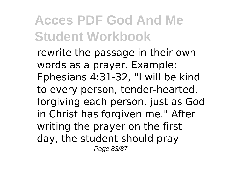rewrite the passage in their own words as a prayer. Example: Ephesians 4:31-32, "I will be kind to every person, tender-hearted, forgiving each person, just as God in Christ has forgiven me." After writing the prayer on the first day, the student should pray Page 83/87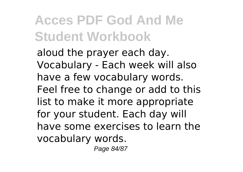aloud the prayer each day. Vocabulary - Each week will also have a few vocabulary words. Feel free to change or add to this list to make it more appropriate for your student. Each day will have some exercises to learn the vocabulary words.

Page 84/87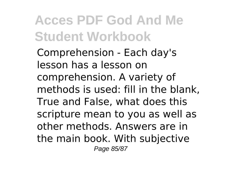Comprehension - Each day's lesson has a lesson on comprehension. A variety of methods is used: fill in the blank, True and False, what does this scripture mean to you as well as other methods. Answers are in the main book. With subjective Page 85/87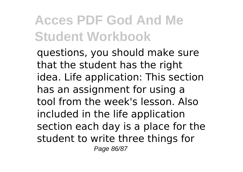questions, you should make sure that the student has the right idea. Life application: This section has an assignment for using a tool from the week's lesson. Also included in the life application section each day is a place for the student to write three things for Page 86/87